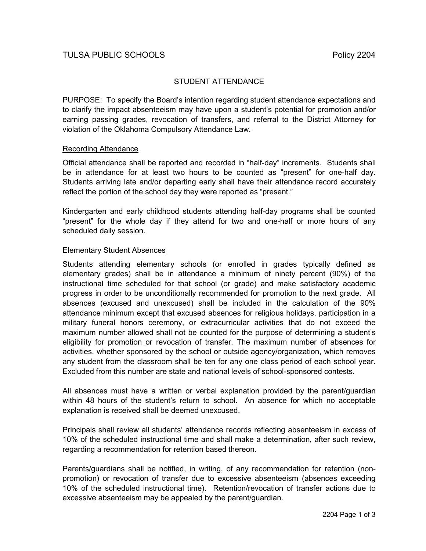# STUDENT ATTENDANCE

PURPOSE: To specify the Board's intention regarding student attendance expectations and to clarify the impact absenteeism may have upon a student's potential for promotion and/or earning passing grades, revocation of transfers, and referral to the District Attorney for violation of the Oklahoma Compulsory Attendance Law.

### Recording Attendance

Official attendance shall be reported and recorded in "half-day" increments. Students shall be in attendance for at least two hours to be counted as "present" for one-half day. Students arriving late and/or departing early shall have their attendance record accurately reflect the portion of the school day they were reported as "present."

Kindergarten and early childhood students attending half-day programs shall be counted "present" for the whole day if they attend for two and one-half or more hours of any scheduled daily session.

### Elementary Student Absences

Students attending elementary schools (or enrolled in grades typically defined as elementary grades) shall be in attendance a minimum of ninety percent (90%) of the instructional time scheduled for that school (or grade) and make satisfactory academic progress in order to be unconditionally recommended for promotion to the next grade. All absences (excused and unexcused) shall be included in the calculation of the 90% attendance minimum except that excused absences for religious holidays, participation in a military funeral honors ceremony, or extracurricular activities that do not exceed the maximum number allowed shall not be counted for the purpose of determining a student's eligibility for promotion or revocation of transfer. The maximum number of absences for activities, whether sponsored by the school or outside agency/organization, which removes any student from the classroom shall be ten for any one class period of each school year. Excluded from this number are state and national levels of school-sponsored contests.

All absences must have a written or verbal explanation provided by the parent/guardian within 48 hours of the student's return to school. An absence for which no acceptable explanation is received shall be deemed unexcused.

Principals shall review all students' attendance records reflecting absenteeism in excess of 10% of the scheduled instructional time and shall make a determination, after such review, regarding a recommendation for retention based thereon.

Parents/guardians shall be notified, in writing, of any recommendation for retention (nonpromotion) or revocation of transfer due to excessive absenteeism (absences exceeding 10% of the scheduled instructional time). Retention/revocation of transfer actions due to excessive absenteeism may be appealed by the parent/guardian.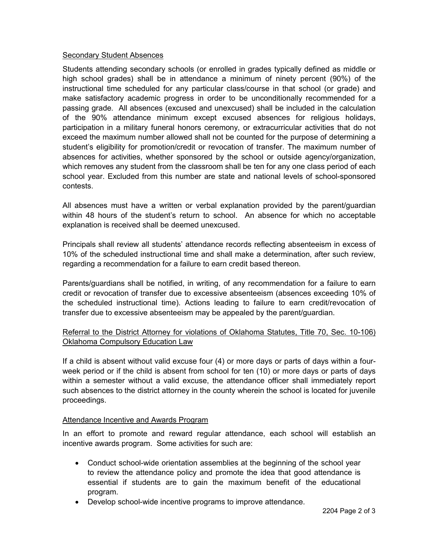# Secondary Student Absences

Students attending secondary schools (or enrolled in grades typically defined as middle or high school grades) shall be in attendance a minimum of ninety percent (90%) of the instructional time scheduled for any particular class/course in that school (or grade) and make satisfactory academic progress in order to be unconditionally recommended for a passing grade. All absences (excused and unexcused) shall be included in the calculation of the 90% attendance minimum except excused absences for religious holidays, participation in a military funeral honors ceremony, or extracurricular activities that do not exceed the maximum number allowed shall not be counted for the purpose of determining a student's eligibility for promotion/credit or revocation of transfer. The maximum number of absences for activities, whether sponsored by the school or outside agency/organization, which removes any student from the classroom shall be ten for any one class period of each school year. Excluded from this number are state and national levels of school-sponsored contests.

All absences must have a written or verbal explanation provided by the parent/guardian within 48 hours of the student's return to school. An absence for which no acceptable explanation is received shall be deemed unexcused.

Principals shall review all students' attendance records reflecting absenteeism in excess of 10% of the scheduled instructional time and shall make a determination, after such review, regarding a recommendation for a failure to earn credit based thereon.

Parents/guardians shall be notified, in writing, of any recommendation for a failure to earn credit or revocation of transfer due to excessive absenteeism (absences exceeding 10% of the scheduled instructional time). Actions leading to failure to earn credit/revocation of transfer due to excessive absenteeism may be appealed by the parent/guardian.

# Referral to the District Attorney for violations of Oklahoma Statutes, Title 70, Sec. 10-106) Oklahoma Compulsory Education Law

If a child is absent without valid excuse four (4) or more days or parts of days within a fourweek period or if the child is absent from school for ten (10) or more days or parts of days within a semester without a valid excuse, the attendance officer shall immediately report such absences to the district attorney in the county wherein the school is located for juvenile proceedings.

# Attendance Incentive and Awards Program

In an effort to promote and reward regular attendance, each school will establish an incentive awards program. Some activities for such are:

- Conduct school-wide orientation assemblies at the beginning of the school year to review the attendance policy and promote the idea that good attendance is essential if students are to gain the maximum benefit of the educational program.
- Develop school-wide incentive programs to improve attendance.